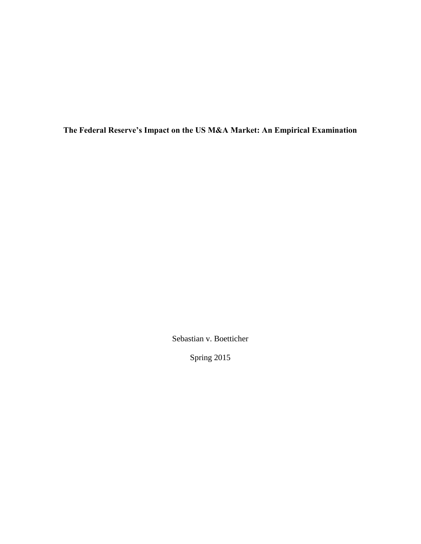**The Federal Reserve's Impact on the US M&A Market: An Empirical Examination**

Sebastian v. Boetticher

Spring 2015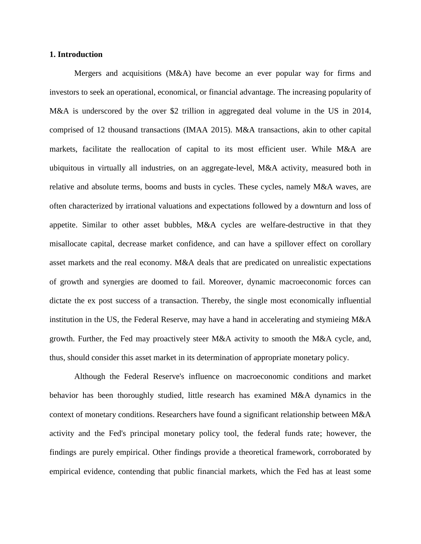## **1. Introduction**

Mergers and acquisitions (M&A) have become an ever popular way for firms and investors to seek an operational, economical, or financial advantage. The increasing popularity of M&A is underscored by the over \$2 trillion in aggregated deal volume in the US in 2014, comprised of 12 thousand transactions (IMAA 2015). M&A transactions, akin to other capital markets, facilitate the reallocation of capital to its most efficient user. While M&A are ubiquitous in virtually all industries, on an aggregate-level, M&A activity, measured both in relative and absolute terms, booms and busts in cycles. These cycles, namely M&A waves, are often characterized by irrational valuations and expectations followed by a downturn and loss of appetite. Similar to other asset bubbles, M&A cycles are welfare-destructive in that they misallocate capital, decrease market confidence, and can have a spillover effect on corollary asset markets and the real economy. M&A deals that are predicated on unrealistic expectations of growth and synergies are doomed to fail. Moreover, dynamic macroeconomic forces can dictate the ex post success of a transaction. Thereby, the single most economically influential institution in the US, the Federal Reserve, may have a hand in accelerating and stymieing M&A growth. Further, the Fed may proactively steer M&A activity to smooth the M&A cycle, and, thus, should consider this asset market in its determination of appropriate monetary policy.

Although the Federal Reserve's influence on macroeconomic conditions and market behavior has been thoroughly studied, little research has examined M&A dynamics in the context of monetary conditions. Researchers have found a significant relationship between M&A activity and the Fed's principal monetary policy tool, the federal funds rate; however, the findings are purely empirical. Other findings provide a theoretical framework, corroborated by empirical evidence, contending that public financial markets, which the Fed has at least some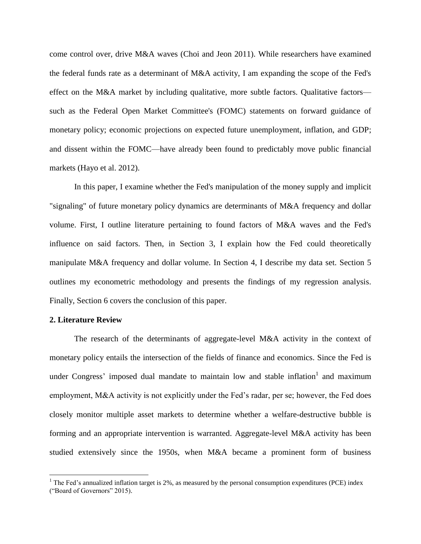come control over, drive M&A waves (Choi and Jeon 2011). While researchers have examined the federal funds rate as a determinant of M&A activity, I am expanding the scope of the Fed's effect on the M&A market by including qualitative, more subtle factors. Qualitative factors such as the Federal Open Market Committee's (FOMC) statements on forward guidance of monetary policy; economic projections on expected future unemployment, inflation, and GDP; and dissent within the FOMC—have already been found to predictably move public financial markets (Hayo et al. 2012).

In this paper, I examine whether the Fed's manipulation of the money supply and implicit "signaling" of future monetary policy dynamics are determinants of M&A frequency and dollar volume. First, I outline literature pertaining to found factors of M&A waves and the Fed's influence on said factors. Then, in Section 3, I explain how the Fed could theoretically manipulate M&A frequency and dollar volume. In Section 4, I describe my data set. Section 5 outlines my econometric methodology and presents the findings of my regression analysis. Finally, Section 6 covers the conclusion of this paper.

## **2. Literature Review**

 $\overline{\phantom{a}}$ 

The research of the determinants of aggregate-level M&A activity in the context of monetary policy entails the intersection of the fields of finance and economics. Since the Fed is under Congress' imposed dual mandate to maintain low and stable inflation<sup>1</sup> and maximum employment, M&A activity is not explicitly under the Fed's radar, per se; however, the Fed does closely monitor multiple asset markets to determine whether a welfare-destructive bubble is forming and an appropriate intervention is warranted. Aggregate-level M&A activity has been studied extensively since the 1950s, when M&A became a prominent form of business

<sup>&</sup>lt;sup>1</sup> The Fed's annualized inflation target is 2%, as measured by the personal consumption expenditures (PCE) index ("Board of Governors" 2015).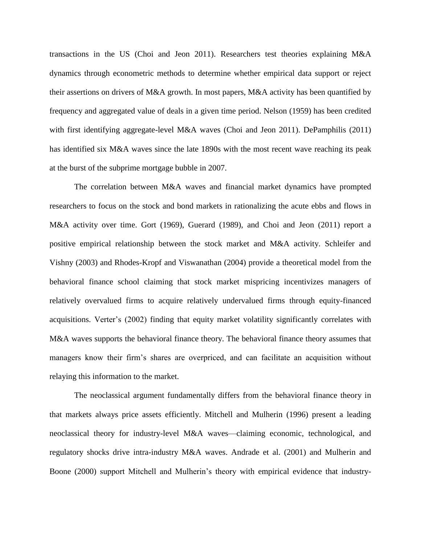transactions in the US (Choi and Jeon 2011). Researchers test theories explaining M&A dynamics through econometric methods to determine whether empirical data support or reject their assertions on drivers of M&A growth. In most papers, M&A activity has been quantified by frequency and aggregated value of deals in a given time period. Nelson (1959) has been credited with first identifying aggregate-level M&A waves (Choi and Jeon 2011). DePamphilis (2011) has identified six M&A waves since the late 1890s with the most recent wave reaching its peak at the burst of the subprime mortgage bubble in 2007.

The correlation between M&A waves and financial market dynamics have prompted researchers to focus on the stock and bond markets in rationalizing the acute ebbs and flows in M&A activity over time. Gort (1969), Guerard (1989), and Choi and Jeon (2011) report a positive empirical relationship between the stock market and M&A activity. Schleifer and Vishny (2003) and Rhodes-Kropf and Viswanathan (2004) provide a theoretical model from the behavioral finance school claiming that stock market mispricing incentivizes managers of relatively overvalued firms to acquire relatively undervalued firms through equity-financed acquisitions. Verter's (2002) finding that equity market volatility significantly correlates with M&A waves supports the behavioral finance theory. The behavioral finance theory assumes that managers know their firm's shares are overpriced, and can facilitate an acquisition without relaying this information to the market.

The neoclassical argument fundamentally differs from the behavioral finance theory in that markets always price assets efficiently. Mitchell and Mulherin (1996) present a leading neoclassical theory for industry-level M&A waves—claiming economic, technological, and regulatory shocks drive intra-industry M&A waves. Andrade et al. (2001) and Mulherin and Boone (2000) support Mitchell and Mulherin's theory with empirical evidence that industry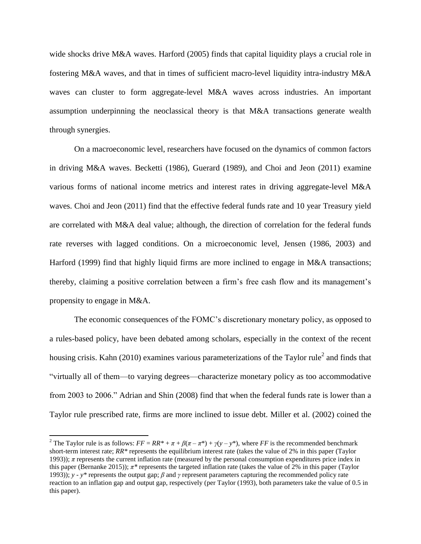wide shocks drive M&A waves. Harford (2005) finds that capital liquidity plays a crucial role in fostering M&A waves, and that in times of sufficient macro-level liquidity intra-industry M&A waves can cluster to form aggregate-level M&A waves across industries. An important assumption underpinning the neoclassical theory is that M&A transactions generate wealth through synergies.

On a macroeconomic level, researchers have focused on the dynamics of common factors in driving M&A waves. Becketti (1986), Guerard (1989), and Choi and Jeon (2011) examine various forms of national income metrics and interest rates in driving aggregate-level M&A waves. Choi and Jeon (2011) find that the effective federal funds rate and 10 year Treasury yield are correlated with M&A deal value; although, the direction of correlation for the federal funds rate reverses with lagged conditions. On a microeconomic level, Jensen (1986, 2003) and Harford (1999) find that highly liquid firms are more inclined to engage in M&A transactions; thereby, claiming a positive correlation between a firm's free cash flow and its management's propensity to engage in M&A.

The economic consequences of the FOMC's discretionary monetary policy, as opposed to a rules-based policy, have been debated among scholars, especially in the context of the recent housing crisis. Kahn (2010) examines various parameterizations of the Taylor rule<sup>2</sup> and finds that "virtually all of them—to varying degrees—characterize monetary policy as too accommodative from 2003 to 2006." Adrian and Shin (2008) find that when the federal funds rate is lower than a Taylor rule prescribed rate, firms are more inclined to issue debt. Miller et al. (2002) coined the

 $\overline{\phantom{a}}$ 

<sup>&</sup>lt;sup>2</sup> The Taylor rule is as follows:  $FF = RR^* + \pi + \beta(\pi - \pi^*) + \gamma(y - y^*)$ , where *FF* is the recommended benchmark short-term interest rate; *RR\** represents the equilibrium interest rate (takes the value of 2% in this paper (Taylor 1993));  $\pi$  represents the current inflation rate (measured by the personal consumption expenditures price index in this paper (Bernanke 2015)); *π\** represents the targeted inflation rate (takes the value of 2% in this paper (Taylor 1993)); *y - y\** represents the output gap; *β* and *γ* represent parameters capturing the recommended policy rate reaction to an inflation gap and output gap, respectively (per Taylor (1993), both parameters take the value of 0.5 in this paper).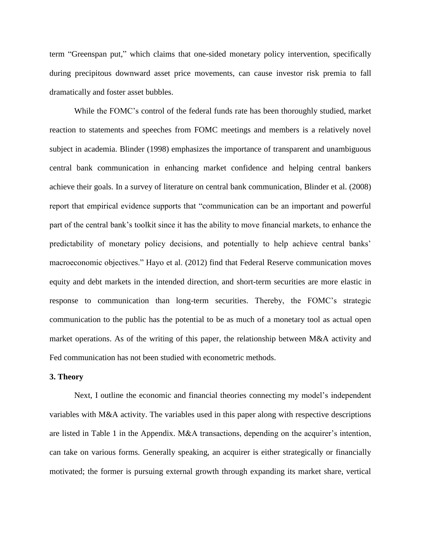term "Greenspan put," which claims that one-sided monetary policy intervention, specifically during precipitous downward asset price movements, can cause investor risk premia to fall dramatically and foster asset bubbles.

While the FOMC's control of the federal funds rate has been thoroughly studied, market reaction to statements and speeches from FOMC meetings and members is a relatively novel subject in academia. Blinder (1998) emphasizes the importance of transparent and unambiguous central bank communication in enhancing market confidence and helping central bankers achieve their goals. In a survey of literature on central bank communication, Blinder et al. (2008) report that empirical evidence supports that "communication can be an important and powerful part of the central bank's toolkit since it has the ability to move financial markets, to enhance the predictability of monetary policy decisions, and potentially to help achieve central banks' macroeconomic objectives." Hayo et al. (2012) find that Federal Reserve communication moves equity and debt markets in the intended direction, and short-term securities are more elastic in response to communication than long-term securities. Thereby, the FOMC's strategic communication to the public has the potential to be as much of a monetary tool as actual open market operations. As of the writing of this paper, the relationship between M&A activity and Fed communication has not been studied with econometric methods.

#### **3. Theory**

Next, I outline the economic and financial theories connecting my model's independent variables with M&A activity. The variables used in this paper along with respective descriptions are listed in Table 1 in the Appendix. M&A transactions, depending on the acquirer's intention, can take on various forms. Generally speaking, an acquirer is either strategically or financially motivated; the former is pursuing external growth through expanding its market share, vertical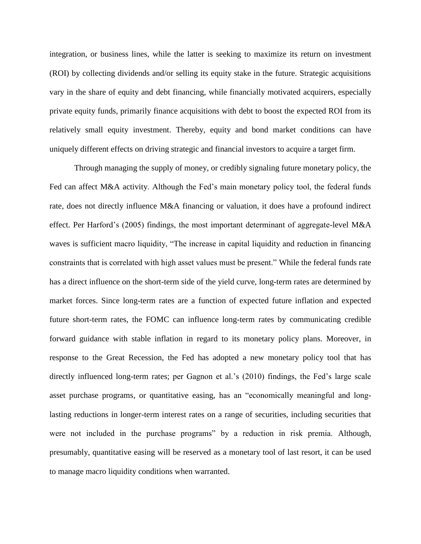integration, or business lines, while the latter is seeking to maximize its return on investment (ROI) by collecting dividends and/or selling its equity stake in the future. Strategic acquisitions vary in the share of equity and debt financing, while financially motivated acquirers, especially private equity funds, primarily finance acquisitions with debt to boost the expected ROI from its relatively small equity investment. Thereby, equity and bond market conditions can have uniquely different effects on driving strategic and financial investors to acquire a target firm.

Through managing the supply of money, or credibly signaling future monetary policy, the Fed can affect M&A activity. Although the Fed's main monetary policy tool, the federal funds rate, does not directly influence M&A financing or valuation, it does have a profound indirect effect. Per Harford's (2005) findings, the most important determinant of aggregate-level M&A waves is sufficient macro liquidity, "The increase in capital liquidity and reduction in financing constraints that is correlated with high asset values must be present." While the federal funds rate has a direct influence on the short-term side of the yield curve, long-term rates are determined by market forces. Since long-term rates are a function of expected future inflation and expected future short-term rates, the FOMC can influence long-term rates by communicating credible forward guidance with stable inflation in regard to its monetary policy plans. Moreover, in response to the Great Recession, the Fed has adopted a new monetary policy tool that has directly influenced long-term rates; per Gagnon et al.'s (2010) findings, the Fed's large scale asset purchase programs, or quantitative easing, has an "economically meaningful and longlasting reductions in longer-term interest rates on a range of securities, including securities that were not included in the purchase programs" by a reduction in risk premia. Although, presumably, quantitative easing will be reserved as a monetary tool of last resort, it can be used to manage macro liquidity conditions when warranted.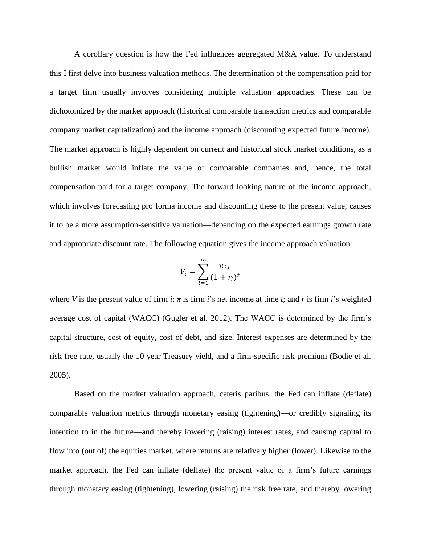A corollary question is how the Fed influences aggregated M&A value. To understand this I first delve into business valuation methods. The determination of the compensation paid for a target firm usually involves considering multiple valuation approaches. These can be dichotomized by the market approach (historical comparable transaction metrics and comparable company market capitalization) and the income approach (discounting expected future income). The market approach is highly dependent on current and historical stock market conditions, as a bullish market would inflate the value of comparable companies and, hence, the total compensation paid for a target company. The forward looking nature of the income approach, which involves forecasting pro forma income and discounting these to the present value, causes it to be a more assumption-sensitive valuation—depending on the expected earnings growth rate and appropriate discount rate. The following equation gives the income approach valuation:

$$
V_i = \sum_{t=1}^{\infty} \frac{\pi_{i,t}}{(1+r_i)^t}
$$

where *V* is the present value of firm *i*;  $\pi$  is firm *i*'s net income at time *t*; and *r* is firm *i*'s weighted average cost of capital (WACC) (Gugler et al. 2012). The WACC is determined by the firm's capital structure, cost of equity, cost of debt, and size. Interest expenses are determined by the risk free rate, usually the 10 year Treasury yield, and a firm-specific risk premium (Bodie et al. 2005).

Based on the market valuation approach, ceteris paribus, the Fed can inflate (deflate) comparable valuation metrics through monetary easing (tightening)—or credibly signaling its intention to in the future—and thereby lowering (raising) interest rates, and causing capital to flow into (out of) the equities market, where returns are relatively higher (lower). Likewise to the market approach, the Fed can inflate (deflate) the present value of a firm's future earnings through monetary easing (tightening), lowering (raising) the risk free rate, and thereby lowering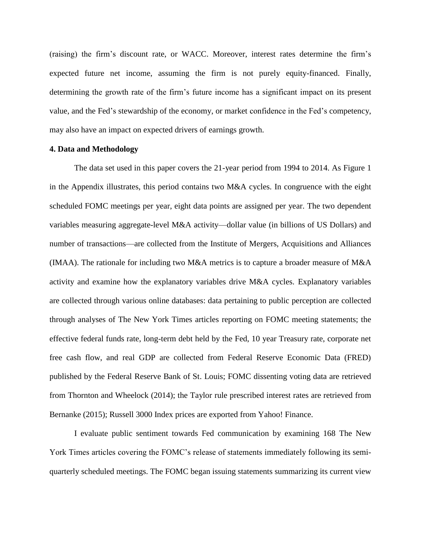(raising) the firm's discount rate, or WACC. Moreover, interest rates determine the firm's expected future net income, assuming the firm is not purely equity-financed. Finally, determining the growth rate of the firm's future income has a significant impact on its present value, and the Fed's stewardship of the economy, or market confidence in the Fed's competency, may also have an impact on expected drivers of earnings growth.

# **4. Data and Methodology**

The data set used in this paper covers the 21-year period from 1994 to 2014. As Figure 1 in the Appendix illustrates, this period contains two M&A cycles. In congruence with the eight scheduled FOMC meetings per year, eight data points are assigned per year. The two dependent variables measuring aggregate-level M&A activity—dollar value (in billions of US Dollars) and number of transactions—are collected from the Institute of Mergers, Acquisitions and Alliances (IMAA). The rationale for including two M&A metrics is to capture a broader measure of M&A activity and examine how the explanatory variables drive M&A cycles. Explanatory variables are collected through various online databases: data pertaining to public perception are collected through analyses of The New York Times articles reporting on FOMC meeting statements; the effective federal funds rate, long-term debt held by the Fed, 10 year Treasury rate, corporate net free cash flow, and real GDP are collected from Federal Reserve Economic Data (FRED) published by the Federal Reserve Bank of St. Louis; FOMC dissenting voting data are retrieved from Thornton and Wheelock (2014); the Taylor rule prescribed interest rates are retrieved from Bernanke (2015); Russell 3000 Index prices are exported from Yahoo! Finance.

I evaluate public sentiment towards Fed communication by examining 168 The New York Times articles covering the FOMC's release of statements immediately following its semiquarterly scheduled meetings. The FOMC began issuing statements summarizing its current view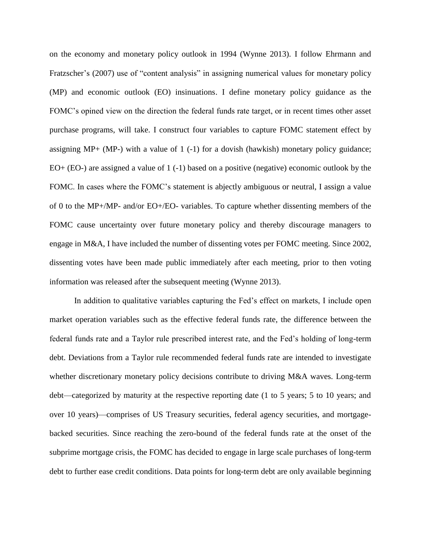on the economy and monetary policy outlook in 1994 (Wynne 2013). I follow Ehrmann and Fratzscher's (2007) use of "content analysis" in assigning numerical values for monetary policy (MP) and economic outlook (EO) insinuations. I define monetary policy guidance as the FOMC's opined view on the direction the federal funds rate target, or in recent times other asset purchase programs, will take. I construct four variables to capture FOMC statement effect by assigning MP+ (MP-) with a value of  $1$  (-1) for a dovish (hawkish) monetary policy guidance; EO+ (EO-) are assigned a value of 1 (-1) based on a positive (negative) economic outlook by the FOMC. In cases where the FOMC's statement is abjectly ambiguous or neutral, I assign a value of 0 to the MP+/MP- and/or EO+/EO- variables. To capture whether dissenting members of the FOMC cause uncertainty over future monetary policy and thereby discourage managers to engage in M&A, I have included the number of dissenting votes per FOMC meeting. Since 2002, dissenting votes have been made public immediately after each meeting, prior to then voting information was released after the subsequent meeting (Wynne 2013).

In addition to qualitative variables capturing the Fed's effect on markets, I include open market operation variables such as the effective federal funds rate, the difference between the federal funds rate and a Taylor rule prescribed interest rate, and the Fed's holding of long-term debt. Deviations from a Taylor rule recommended federal funds rate are intended to investigate whether discretionary monetary policy decisions contribute to driving M&A waves. Long-term debt—categorized by maturity at the respective reporting date (1 to 5 years; 5 to 10 years; and over 10 years)—comprises of US Treasury securities, federal agency securities, and mortgagebacked securities. Since reaching the zero-bound of the federal funds rate at the onset of the subprime mortgage crisis, the FOMC has decided to engage in large scale purchases of long-term debt to further ease credit conditions. Data points for long-term debt are only available beginning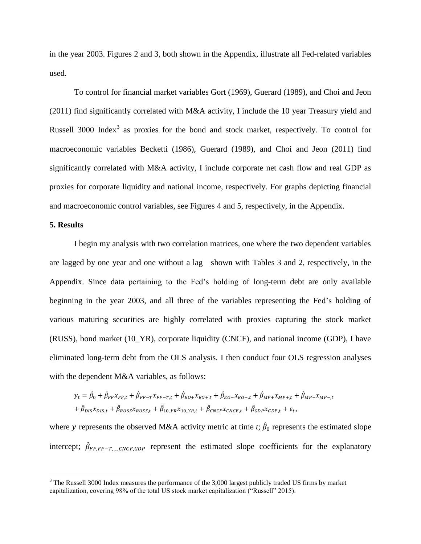in the year 2003. Figures 2 and 3, both shown in the Appendix, illustrate all Fed-related variables used.

To control for financial market variables Gort (1969), Guerard (1989), and Choi and Jeon (2011) find significantly correlated with M&A activity, I include the 10 year Treasury yield and Russell 3000 Index<sup>3</sup> as proxies for the bond and stock market, respectively. To control for macroeconomic variables Becketti (1986), Guerard (1989), and Choi and Jeon (2011) find significantly correlated with M&A activity, I include corporate net cash flow and real GDP as proxies for corporate liquidity and national income, respectively. For graphs depicting financial and macroeconomic control variables, see Figures 4 and 5, respectively, in the Appendix.

# **5. Results**

 $\overline{\phantom{a}}$ 

I begin my analysis with two correlation matrices, one where the two dependent variables are lagged by one year and one without a lag—shown with Tables 3 and 2, respectively, in the Appendix. Since data pertaining to the Fed's holding of long-term debt are only available beginning in the year 2003, and all three of the variables representing the Fed's holding of various maturing securities are highly correlated with proxies capturing the stock market (RUSS), bond market (10\_YR), corporate liquidity (CNCF), and national income (GDP), I have eliminated long-term debt from the OLS analysis. I then conduct four OLS regression analyses with the dependent M&A variables, as follows:

$$
y_{t} = \hat{\beta}_{0} + \hat{\beta}_{FF} x_{FF,t} + \hat{\beta}_{FF-T} x_{FF-T,t} + \hat{\beta}_{E0+} x_{E0+,t} + \hat{\beta}_{E0-} x_{E0-,t} + \hat{\beta}_{MP+} x_{MP+,t} + \hat{\beta}_{MP-} x_{MP-,t}
$$
  
+  $\hat{\beta}_{DIS} x_{DIS,t} + \hat{\beta}_{RUSS} x_{RUSS,t} + \hat{\beta}_{10\_YR} x_{10\_YR,t} + \hat{\beta}_{CNCF} x_{CNCF,t} + \hat{\beta}_{GDP} x_{GDP,t} + \varepsilon_{t},$ 

where y represents the observed M&A activity metric at time *t*;  $\hat{\beta}_0$  represents the estimated slope intercept;  $\hat{\beta}_{FF,FF-T,...,CNCF, GDP}$  represent the estimated slope coefficients for the explanatory

 $3$  The Russell 3000 Index measures the performance of the 3,000 largest publicly traded US firms by market capitalization, covering 98% of the total US stock market capitalization ("Russell" 2015).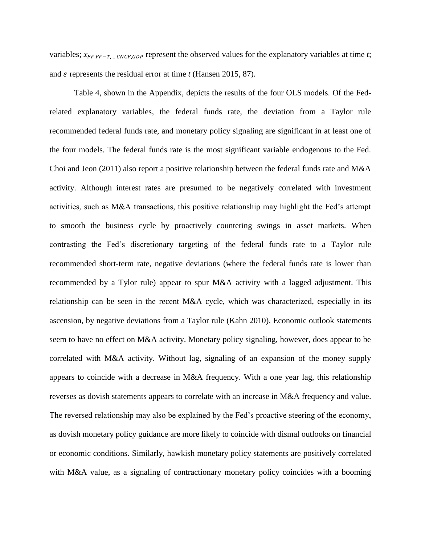variables;  $x_{FF,FF-T,...,CNCF,GDP}$  represent the observed values for the explanatory variables at time *t*; and  $\varepsilon$  represents the residual error at time  $t$  (Hansen 2015, 87).

Table 4, shown in the Appendix, depicts the results of the four OLS models. Of the Fedrelated explanatory variables, the federal funds rate, the deviation from a Taylor rule recommended federal funds rate, and monetary policy signaling are significant in at least one of the four models. The federal funds rate is the most significant variable endogenous to the Fed. Choi and Jeon (2011) also report a positive relationship between the federal funds rate and M&A activity. Although interest rates are presumed to be negatively correlated with investment activities, such as M&A transactions, this positive relationship may highlight the Fed's attempt to smooth the business cycle by proactively countering swings in asset markets. When contrasting the Fed's discretionary targeting of the federal funds rate to a Taylor rule recommended short-term rate, negative deviations (where the federal funds rate is lower than recommended by a Tylor rule) appear to spur M&A activity with a lagged adjustment. This relationship can be seen in the recent M&A cycle, which was characterized, especially in its ascension, by negative deviations from a Taylor rule (Kahn 2010). Economic outlook statements seem to have no effect on M&A activity. Monetary policy signaling, however, does appear to be correlated with M&A activity. Without lag, signaling of an expansion of the money supply appears to coincide with a decrease in M&A frequency. With a one year lag, this relationship reverses as dovish statements appears to correlate with an increase in M&A frequency and value. The reversed relationship may also be explained by the Fed's proactive steering of the economy, as dovish monetary policy guidance are more likely to coincide with dismal outlooks on financial or economic conditions. Similarly, hawkish monetary policy statements are positively correlated with M&A value, as a signaling of contractionary monetary policy coincides with a booming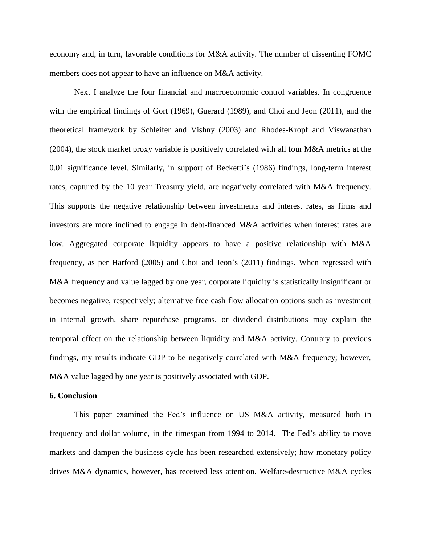economy and, in turn, favorable conditions for M&A activity. The number of dissenting FOMC members does not appear to have an influence on M&A activity.

Next I analyze the four financial and macroeconomic control variables. In congruence with the empirical findings of Gort (1969), Guerard (1989), and Choi and Jeon (2011), and the theoretical framework by Schleifer and Vishny (2003) and Rhodes-Kropf and Viswanathan (2004), the stock market proxy variable is positively correlated with all four M&A metrics at the 0.01 significance level. Similarly, in support of Becketti's (1986) findings, long-term interest rates, captured by the 10 year Treasury yield, are negatively correlated with M&A frequency. This supports the negative relationship between investments and interest rates, as firms and investors are more inclined to engage in debt-financed M&A activities when interest rates are low. Aggregated corporate liquidity appears to have a positive relationship with M&A frequency, as per Harford (2005) and Choi and Jeon's (2011) findings. When regressed with M&A frequency and value lagged by one year, corporate liquidity is statistically insignificant or becomes negative, respectively; alternative free cash flow allocation options such as investment in internal growth, share repurchase programs, or dividend distributions may explain the temporal effect on the relationship between liquidity and M&A activity. Contrary to previous findings, my results indicate GDP to be negatively correlated with M&A frequency; however, M&A value lagged by one year is positively associated with GDP.

#### **6. Conclusion**

This paper examined the Fed's influence on US M&A activity, measured both in frequency and dollar volume, in the timespan from 1994 to 2014. The Fed's ability to move markets and dampen the business cycle has been researched extensively; how monetary policy drives M&A dynamics, however, has received less attention. Welfare-destructive M&A cycles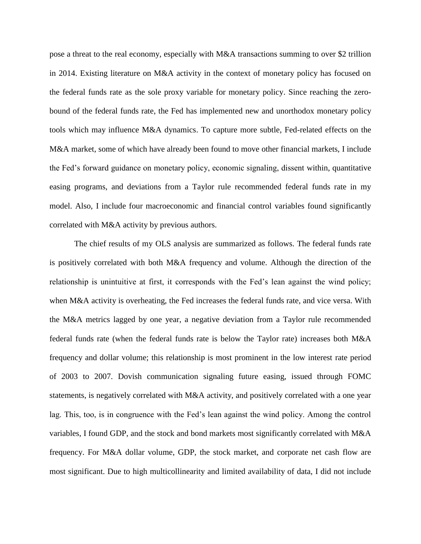pose a threat to the real economy, especially with M&A transactions summing to over \$2 trillion in 2014. Existing literature on M&A activity in the context of monetary policy has focused on the federal funds rate as the sole proxy variable for monetary policy. Since reaching the zerobound of the federal funds rate, the Fed has implemented new and unorthodox monetary policy tools which may influence M&A dynamics. To capture more subtle, Fed-related effects on the M&A market, some of which have already been found to move other financial markets, I include the Fed's forward guidance on monetary policy, economic signaling, dissent within, quantitative easing programs, and deviations from a Taylor rule recommended federal funds rate in my model. Also, I include four macroeconomic and financial control variables found significantly correlated with M&A activity by previous authors.

The chief results of my OLS analysis are summarized as follows. The federal funds rate is positively correlated with both M&A frequency and volume. Although the direction of the relationship is unintuitive at first, it corresponds with the Fed's lean against the wind policy; when M&A activity is overheating, the Fed increases the federal funds rate, and vice versa. With the M&A metrics lagged by one year, a negative deviation from a Taylor rule recommended federal funds rate (when the federal funds rate is below the Taylor rate) increases both M&A frequency and dollar volume; this relationship is most prominent in the low interest rate period of 2003 to 2007. Dovish communication signaling future easing, issued through FOMC statements, is negatively correlated with M&A activity, and positively correlated with a one year lag. This, too, is in congruence with the Fed's lean against the wind policy. Among the control variables, I found GDP, and the stock and bond markets most significantly correlated with M&A frequency. For M&A dollar volume, GDP, the stock market, and corporate net cash flow are most significant. Due to high multicollinearity and limited availability of data, I did not include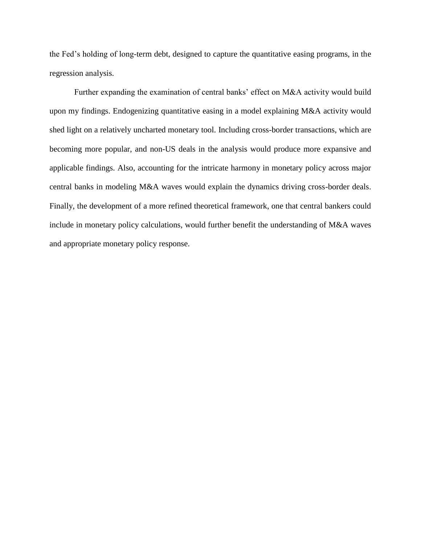the Fed's holding of long-term debt, designed to capture the quantitative easing programs, in the regression analysis.

Further expanding the examination of central banks' effect on M&A activity would build upon my findings. Endogenizing quantitative easing in a model explaining M&A activity would shed light on a relatively uncharted monetary tool. Including cross-border transactions, which are becoming more popular, and non-US deals in the analysis would produce more expansive and applicable findings. Also, accounting for the intricate harmony in monetary policy across major central banks in modeling M&A waves would explain the dynamics driving cross-border deals. Finally, the development of a more refined theoretical framework, one that central bankers could include in monetary policy calculations, would further benefit the understanding of M&A waves and appropriate monetary policy response.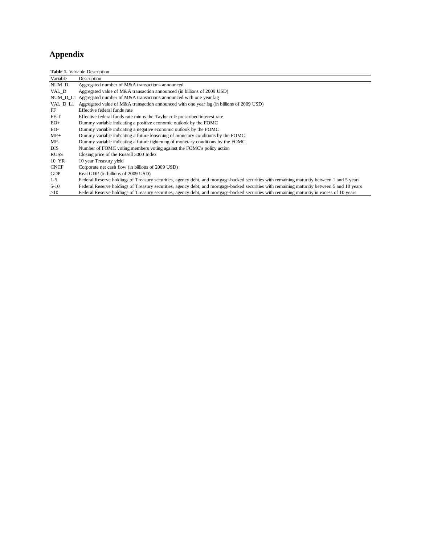# **Appendix**

|             | <b>Table 1.</b> Variable Description                                                                                                         |
|-------------|----------------------------------------------------------------------------------------------------------------------------------------------|
| Variable    | Description                                                                                                                                  |
| NUM D       | Aggregated number of M&A transactions announced                                                                                              |
| VAL D       | Aggregated value of M&A transaction announced (in billions of 2009 USD)                                                                      |
|             | NUM_D_L1 Aggregated number of M&A transactions announced with one year lag                                                                   |
| VAL D L1    | Aggregated value of M&A transaction announced with one year lag (in billions of 2009 USD)                                                    |
| FF          | Effective federal funds rate                                                                                                                 |
| $FF-T$      | Effective federal funds rate minus the Taylor rule prescribed interest rate                                                                  |
| $EO+$       | Dummy variable indicating a positive economic outlook by the FOMC                                                                            |
| EO-         | Dummy variable indicating a negative economic outlook by the FOMC                                                                            |
| $MP+$       | Dummy variable indicating a future loosening of monetary conditions by the FOMC                                                              |
| $MP-$       | Dummy variable indicating a future tightening of monetary conditions by the FOMC                                                             |
| <b>DIS</b>  | Number of FOMC voting members voting against the FOMC's policy action                                                                        |
| <b>RUSS</b> | Closing price of the Russell 3000 Index                                                                                                      |
| 10 YR       | 10 year Treasury yield                                                                                                                       |
| <b>CNCF</b> | Corporate net cash flow (in billions of 2009 USD)                                                                                            |
| <b>GDP</b>  | Real GDP (in billions of 2009 USD)                                                                                                           |
| $1 - 5$     | Federal Reserve holdings of Treasury securities, agency debt, and mortgage-backed securities with remaining maturitiy between 1 and 5 years  |
| $5 - 10$    | Federal Reserve holdings of Treasury securities, agency debt, and mortgage-backed securities with remaining maturitiy between 5 and 10 years |
| >10         | Federal Reserve holdings of Treasury securities, agency debt, and mortgage-backed securities with remaining maturitiy in excess of 10 years  |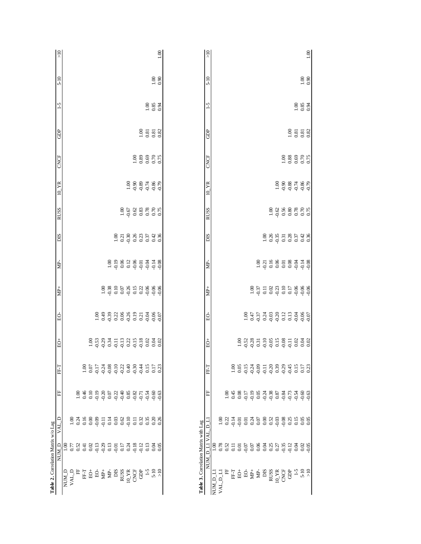| $\frac{1}{2}$      |                                       |               |                |               |                                                   |                      |      |         |                                                                            |                    |         |            |        | 0.00                                                                                                                                                                                                                                                                                                                  |                                      | $\frac{1}{2}$             |         |                        |                  |                   |                   |         |                      |                                                                                                                                                                                                                                                                                 |     |                  |                       |               |                |                    |                     | $1.00\,$ |
|--------------------|---------------------------------------|---------------|----------------|---------------|---------------------------------------------------|----------------------|------|---------|----------------------------------------------------------------------------|--------------------|---------|------------|--------|-----------------------------------------------------------------------------------------------------------------------------------------------------------------------------------------------------------------------------------------------------------------------------------------------------------------------|--------------------------------------|---------------------------|---------|------------------------|------------------|-------------------|-------------------|---------|----------------------|---------------------------------------------------------------------------------------------------------------------------------------------------------------------------------------------------------------------------------------------------------------------------------|-----|------------------|-----------------------|---------------|----------------|--------------------|---------------------|----------|
| $5 - 10$           |                                       |               |                |               |                                                   |                      |      |         |                                                                            |                    |         |            |        | $^{1.00}_{0.90}$                                                                                                                                                                                                                                                                                                      |                                      | $5-10$                    |         |                        |                  |                   |                   |         |                      |                                                                                                                                                                                                                                                                                 |     |                  |                       |               |                |                    | $\frac{0.00}{0.90}$ |          |
| $-5$               |                                       |               |                |               |                                                   |                      |      |         |                                                                            |                    |         |            |        | $6.83$<br>0.85                                                                                                                                                                                                                                                                                                        |                                      | $-5$                      |         |                        |                  |                   |                   |         |                      |                                                                                                                                                                                                                                                                                 |     |                  |                       |               |                | $\frac{888}{0.34}$ |                     |          |
| GDP                |                                       |               |                |               |                                                   |                      |      |         |                                                                            |                    |         |            |        |                                                                                                                                                                                                                                                                                                                       |                                      | GDP                       |         |                        |                  |                   |                   |         |                      |                                                                                                                                                                                                                                                                                 |     |                  |                       |               |                |                    |                     |          |
| CNCF               |                                       |               |                |               |                                                   |                      |      |         |                                                                            |                    |         |            |        | 1.888075                                                                                                                                                                                                                                                                                                              |                                      | <b>CNCF</b>               |         |                        |                  |                   |                   |         |                      |                                                                                                                                                                                                                                                                                 |     |                  |                       | 1.888075      |                |                    |                     |          |
| $10\_\text{YR}$    |                                       |               |                |               |                                                   |                      |      |         |                                                                            |                    |         |            |        | $388780$<br>$-989780$                                                                                                                                                                                                                                                                                                 |                                      | 10 YR                     |         |                        |                  |                   |                   |         |                      |                                                                                                                                                                                                                                                                                 |     |                  | $388780$<br>$-988780$ |               |                |                    |                     |          |
| <b>RUSS</b>        |                                       |               |                |               |                                                   |                      |      |         |                                                                            |                    |         |            |        | 1.676888876                                                                                                                                                                                                                                                                                                           |                                      | <b>RUSS</b>               |         |                        |                  |                   |                   |         |                      |                                                                                                                                                                                                                                                                                 |     |                  | 1.0688877             |               |                |                    |                     |          |
| SIQ                |                                       |               |                |               |                                                   |                      |      |         |                                                                            |                    |         |            |        | $\frac{8}{10}$ $\frac{3}{9}$ $\frac{8}{9}$ $\frac{8}{9}$ $\frac{3}{9}$ $\frac{3}{9}$ $\frac{3}{9}$ $\frac{3}{9}$ $\frac{3}{9}$ $\frac{3}{9}$ $\frac{3}{9}$ $\frac{3}{9}$ $\frac{3}{9}$ $\frac{3}{9}$ $\frac{3}{9}$ $\frac{3}{9}$ $\frac{3}{9}$ $\frac{3}{9}$ $\frac{3}{9}$ $\frac{3}{9}$ $\frac{3}{9}$ $\frac{3}{9}$  |                                      | SIC                       |         |                        |                  |                   |                   |         |                      |                                                                                                                                                                                                                                                                                 |     |                  |                       |               |                |                    |                     |          |
| È.                 |                                       |               |                |               |                                                   |                      |      |         |                                                                            |                    |         |            |        | $3.9828$<br>$-7.960$<br>$-7.960$<br>$-7.960$<br>$-7.960$<br>$-7.960$                                                                                                                                                                                                                                                  |                                      | È                         |         |                        |                  |                   |                   |         |                      |                                                                                                                                                                                                                                                                                 |     |                  |                       |               |                |                    |                     |          |
| $\rm{MP}+$         |                                       |               |                |               |                                                   |                      |      |         |                                                                            |                    |         |            |        | $\begin{array}{c}\n 3.8 \\  -3.8 \\  -1.6 \\  -1.6 \\  \end{array}$                                                                                                                                                                                                                                                   |                                      | $\mathbf{H}^+$            |         |                        |                  |                   |                   |         |                      | $\begin{array}{cccccc}\n1.00 & 0.00 & 0.00 & 0.00 & 0.00 & 0.00 & 0.00 & 0.00 & 0.00 & 0.00 & 0.00 & 0.00 & 0.00 & 0.00 & 0.00 & 0.00 & 0.00 & 0.00 & 0.00 & 0.00 & 0.00 & 0.00 & 0.00 & 0.00 & 0.00 & 0.00 & 0.00 & 0.00 & 0.00 & 0.00 & 0.00 & 0.00 & 0.00 & 0.00 & 0.00 & 0$ |     |                  |                       |               |                |                    |                     |          |
| Ğ,                 |                                       |               |                |               |                                                   |                      |      |         |                                                                            |                    |         |            |        |                                                                                                                                                                                                                                                                                                                       |                                      | EO-                       |         |                        |                  |                   |                   |         |                      |                                                                                                                                                                                                                                                                                 |     |                  |                       |               |                |                    |                     |          |
| $\dot{\mathbb{S}}$ |                                       |               |                |               |                                                   |                      |      |         |                                                                            |                    |         |            |        | $8\%$ $\frac{3}{2}$ $\frac{3}{2}$ $\frac{4}{2}$ $\frac{1}{2}$ $\frac{1}{2}$ $\frac{3}{2}$ $\frac{4}{2}$ $\frac{1}{2}$ $\frac{3}{2}$ $\frac{4}{2}$ $\frac{5}{2}$ $\frac{3}{2}$ $\frac{4}{2}$ $\frac{1}{2}$ $\frac{3}{2}$ $\frac{4}{2}$ $\frac{5}{2}$ $\frac{3}{2}$ $\frac{3}{2}$ $\frac{4}{2}$ $\frac{5}{2}$ $\frac{3$ |                                      | $\vec{Q}$                 |         |                        |                  |                   |                   |         |                      |                                                                                                                                                                                                                                                                                 |     |                  |                       |               |                |                    |                     |          |
| FF-T               |                                       |               | $\frac{8}{10}$ | 0.07          |                                                   |                      |      |         |                                                                            |                    |         |            |        | $\begin{array}{c} 15 \\ 0.17 \\ 0.33 \end{array}$                                                                                                                                                                                                                                                                     |                                      | FF-T                      |         |                        |                  | $\widetilde{100}$ | $rac{0.05}{0.15}$ |         |                      |                                                                                                                                                                                                                                                                                 |     |                  |                       |               |                |                    |                     |          |
| E                  |                                       | $\frac{8}{1}$ | 0.46           | 0.10          | $-0.19$                                           |                      | 0.07 | $-0.22$ |                                                                            | $688$<br>$698$     | $-0.71$ | $-0.54$    |        | -0.63<br>-0.63                                                                                                                                                                                                                                                                                                        |                                      | E                         |         |                        | 0.001            | 0.45              | 0.08              | $-0.17$ | $-0.19$              | 0.05                                                                                                                                                                                                                                                                            |     | $0.38$<br>$0.87$ |                       | ರ ರ ದ<br>ಇದ ದ |                |                    | $-0.63$             |          |
| VAL_D              |                                       | 0.24          | 0.16           | 0.00          | $0.14$<br>$0.14$                                  |                      |      |         | $0.03$<br>$0.01$<br>$0.11$                                                 |                    | 0.32    | 0.35       |        | 0.26                                                                                                                                                                                                                                                                                                                  |                                      | $\mathbf{r}$<br>$\bigcap$ |         | $\tilde{a}$            | $0.22$<br>$0.14$ |                   | 0.01              |         |                      |                                                                                                                                                                                                                                                                                 |     |                  |                       | $-0.08$       | $0.25$<br>0.15 |                    | $\frac{0.05}{0.05}$ |          |
| NUM_D              | 00(1)                                 |               |                | 0.02          | $\begin{array}{c} 13 \\ 0.13 \\ 0.13 \end{array}$ |                      |      | $-0.01$ |                                                                            | $\frac{538}{1000}$ | $-0.12$ | 0.13       |        | $\frac{36}{60}$                                                                                                                                                                                                                                                                                                       |                                      | <b>INAI</b>               | 00.1    | $0.78$<br>0.52<br>0.11 |                  |                   | 0.01              | $-0.07$ | 0.07                 | 8 3 3<br>8 3 3 3<br>8 3 3 3                                                                                                                                                                                                                                                     |     |                  |                       | $-0.35$       | $rac{12}{9}$   |                    | 0.02                |          |
|                    | NUM_D<br>$\ensuremath{\text{VAL}}\_D$ | E             | FFT<br>E       | $\frac{1}{2}$ | ġ                                                 | $\mathbf{\hat{g}}^+$ | È    | SIG     | $\begin{array}{c} \text{RUSS} \\ \text{10\_YR} \\ \text{CNET} \end{array}$ |                    | Ĝ       | $\zeta$ -1 | $5-10$ | $\frac{5}{2}$                                                                                                                                                                                                                                                                                                         | Table 3. Correlation Matrix with Lag | NUM                       | NUM_D_L | $VAL\_L1$              | Ë                | EFT               | Ğ,                | $\beta$ | $\dot{\mathbf{g}}^+$ | È                                                                                                                                                                                                                                                                               | SIC | RUSS             | $10\_{\rm YR}$        | CNCF          | ĝ              | $\sim$             | $5-10$              |          |

>10 -0.05 0.05 -0.63 0.23 0.02 -0.07 -0.06 -0.08 0.36 0.75 -0.79 0.75 0.82 0.94 0.90 1.00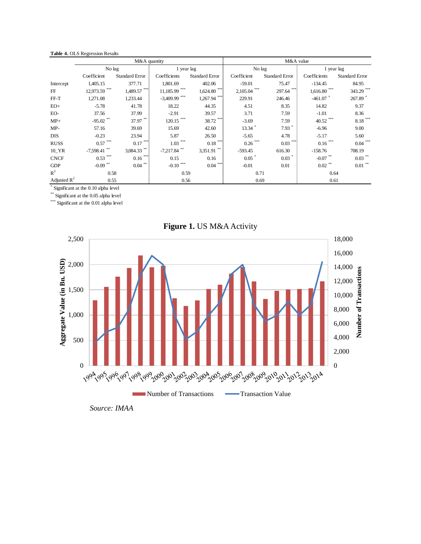#### **Table 4.** OLS Regression Results

|                |                                     | M&A quantity          |                            |                           | M&A value      |                       |                |                       |  |  |  |  |  |  |
|----------------|-------------------------------------|-----------------------|----------------------------|---------------------------|----------------|-----------------------|----------------|-----------------------|--|--|--|--|--|--|
|                | No lag                              |                       | 1 year lag                 |                           | No lag         |                       | 1 year lag     |                       |  |  |  |  |  |  |
|                | Coefficient                         | <b>Standard Error</b> | Coefficients               | <b>Standard Error</b>     | Coefficient    | <b>Standard Error</b> | Coefficients   | <b>Standard Error</b> |  |  |  |  |  |  |
| Intercept      | 1,405.15                            | 377.71                | 1,801.69                   | 402.06                    | $-59.01$       | 75.47                 | $-134.45$      | 84.95                 |  |  |  |  |  |  |
| FF             | $12,973.59$ ***                     | $1,489.57$ ***        | $11,185.99$ ***            | $1,624.80$ <sup>***</sup> | $2,105.04$ *** | 297.64                | $1,616.80$ *** | 343.29 ***            |  |  |  |  |  |  |
| $FF-T$         | 1,271.08                            | 1,233.44              | $-3,409.99$ <sup>***</sup> | $1,267.94$ ***            | 229.91         | 246.46                | $-461.07$ *    | 267.89 *              |  |  |  |  |  |  |
| $EO+$          | $-5.78$                             | 41.78                 | 18.22                      | 44.35                     | 4.51           | 8.35                  | 14.82          | 9.37                  |  |  |  |  |  |  |
| EO-            | 37.56                               | 37.99                 | $-2.91$                    | 39.57                     | 3.71           | 7.59                  | $-1.01$        | 8.36                  |  |  |  |  |  |  |
| $MP+$          | $-95.02$ **                         | 37.97**               | $120.15$ ***               | 38.72 ***                 | $-3.69$        | 7.59                  | 40.52 ***      | $8.18***$             |  |  |  |  |  |  |
| $MP-$          | 57.16                               | 39.69                 | 15.69                      | 42.60                     | $13.34$ *      | $7.93$ $*$            | $-6.96$        | 9.00                  |  |  |  |  |  |  |
| <b>DIS</b>     | $-0.23$                             | 23.94                 | 5.87                       | 26.50                     | $-5.65$        | 4.78                  | $-5.17$        | 5.60                  |  |  |  |  |  |  |
| <b>RUSS</b>    | $0.57$ ***                          | $0.17$ ***            | $1.03$ ***                 | $0.18***$                 | $0.26$ ***     | $0.03$ <sup>***</sup> | $0.16$ ***     | $0.04$ <sup>***</sup> |  |  |  |  |  |  |
| $10$ _YR       | $-7,598.41$ **                      | $3,084.33$ **         | $-7,217.84$ **             | $3,351.91$ **             | $-593.45$      | 616.30                | $-158.76$      | 708.19                |  |  |  |  |  |  |
| <b>CNCF</b>    | $0.53$ ***                          | $0.16***$             | 0.15                       | 0.16                      | 0.05           | $0.03$ <sup>*</sup>   | $-0.07$ **     | $0.03$ <sup>**</sup>  |  |  |  |  |  |  |
| <b>GDP</b>     | $-0.09$ <sup>**</sup>               | $0.04$ **             | ***<br>$-0.10$             | $0.04$ ***                | $-0.01$        | 0.01                  | $0.02$ **      | $0.01$ **             |  |  |  |  |  |  |
| $R^2$          | 0.58                                |                       | 0.59                       |                           | 0.71           |                       | 0.64           |                       |  |  |  |  |  |  |
| Adjusted $R^2$ | 0.55                                |                       | 0.56                       |                           | 0.69           |                       | 0.61           |                       |  |  |  |  |  |  |
|                | Significant at the 0.10 alpha level |                       |                            |                           |                |                       |                |                       |  |  |  |  |  |  |

\*\* Significant at the 0.05 alpha level

\*\*\* Significant at the 0.01 alpha level





*Source: IMAA*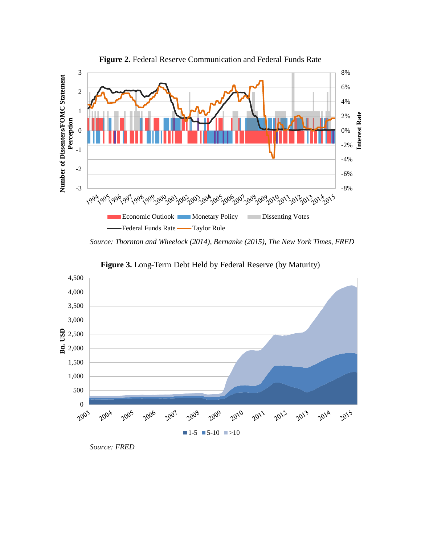

**Figure 2.** Federal Reserve Communication and Federal Funds Rate

*Source: Thornton and Wheelock (2014), Bernanke (2015), The New York Times, FRED*



**Figure 3.** Long-Term Debt Held by Federal Reserve (by Maturity)

*Source: FRED*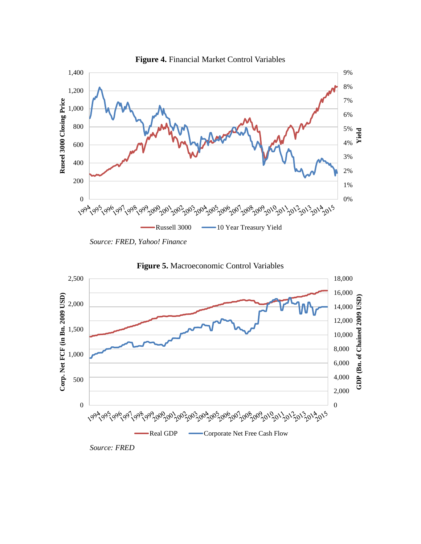

*Source: FRED, Yahoo! Finance*





*Source: FRED*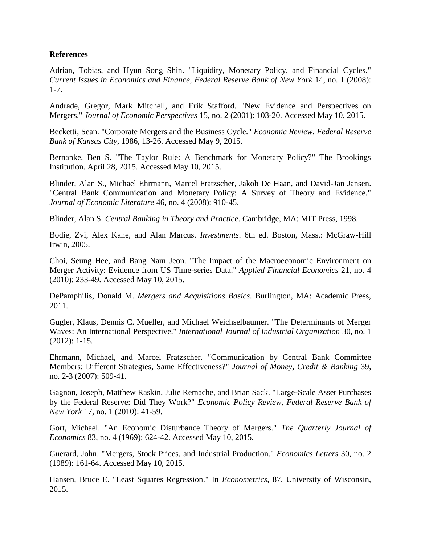# **References**

Adrian, Tobias, and Hyun Song Shin. "Liquidity, Monetary Policy, and Financial Cycles." *Current Issues in Economics and Finance, Federal Reserve Bank of New York* 14, no. 1 (2008): 1-7.

Andrade, Gregor, Mark Mitchell, and Erik Stafford. "New Evidence and Perspectives on Mergers." *Journal of Economic Perspectives* 15, no. 2 (2001): 103-20. Accessed May 10, 2015.

Becketti, Sean. "Corporate Mergers and the Business Cycle." *Economic Review, Federal Reserve Bank of Kansas City*, 1986, 13-26. Accessed May 9, 2015.

Bernanke, Ben S. "The Taylor Rule: A Benchmark for Monetary Policy?" The Brookings Institution. April 28, 2015. Accessed May 10, 2015.

Blinder, Alan S., Michael Ehrmann, Marcel Fratzscher, Jakob De Haan, and David-Jan Jansen. "Central Bank Communication and Monetary Policy: A Survey of Theory and Evidence." *Journal of Economic Literature* 46, no. 4 (2008): 910-45.

Blinder, Alan S. *Central Banking in Theory and Practice*. Cambridge, MA: MIT Press, 1998.

Bodie, Zvi, Alex Kane, and Alan Marcus. *Investments*. 6th ed. Boston, Mass.: McGraw-Hill Irwin, 2005.

Choi, Seung Hee, and Bang Nam Jeon. "The Impact of the Macroeconomic Environment on Merger Activity: Evidence from US Time-series Data." *Applied Financial Economics* 21, no. 4 (2010): 233-49. Accessed May 10, 2015.

DePamphilis, Donald M. *Mergers and Acquisitions Basics*. Burlington, MA: Academic Press, 2011.

Gugler, Klaus, Dennis C. Mueller, and Michael Weichselbaumer. "The Determinants of Merger Waves: An International Perspective." *International Journal of Industrial Organization* 30, no. 1 (2012): 1-15.

Ehrmann, Michael, and Marcel Fratzscher. "Communication by Central Bank Committee Members: Different Strategies, Same Effectiveness?" *Journal of Money, Credit & Banking* 39, no. 2-3 (2007): 509-41.

Gagnon, Joseph, Matthew Raskin, Julie Remache, and Brian Sack. "Large-Scale Asset Purchases by the Federal Reserve: Did They Work?" *Economic Policy Review, Federal Reserve Bank of New York* 17, no. 1 (2010): 41-59.

Gort, Michael. "An Economic Disturbance Theory of Mergers." *The Quarterly Journal of Economics* 83, no. 4 (1969): 624-42. Accessed May 10, 2015.

Guerard, John. "Mergers, Stock Prices, and Industrial Production." *Economics Letters* 30, no. 2 (1989): 161-64. Accessed May 10, 2015.

Hansen, Bruce E. "Least Squares Regression." In *Econometrics*, 87. University of Wisconsin, 2015.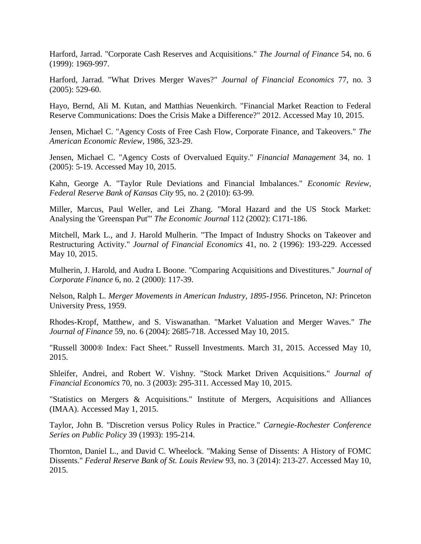Harford, Jarrad. "Corporate Cash Reserves and Acquisitions." *The Journal of Finance* 54, no. 6 (1999): 1969-997.

Harford, Jarrad. "What Drives Merger Waves?" *Journal of Financial Economics* 77, no. 3 (2005): 529-60.

Hayo, Bernd, Ali M. Kutan, and Matthias Neuenkirch. "Financial Market Reaction to Federal Reserve Communications: Does the Crisis Make a Difference?" 2012. Accessed May 10, 2015.

Jensen, Michael C. "Agency Costs of Free Cash Flow, Corporate Finance, and Takeovers." *The American Economic Review*, 1986, 323-29.

Jensen, Michael C. "Agency Costs of Overvalued Equity." *Financial Management* 34, no. 1 (2005): 5-19. Accessed May 10, 2015.

Kahn, George A. "Taylor Rule Deviations and Financial Imbalances." *Economic Review, Federal Reserve Bank of Kansas City* 95, no. 2 (2010): 63-99.

Miller, Marcus, Paul Weller, and Lei Zhang. "Moral Hazard and the US Stock Market: Analysing the 'Greenspan Put'" *The Economic Journal* 112 (2002): C171-186.

Mitchell, Mark L., and J. Harold Mulherin. "The Impact of Industry Shocks on Takeover and Restructuring Activity." *Journal of Financial Economics* 41, no. 2 (1996): 193-229. Accessed May 10, 2015.

Mulherin, J. Harold, and Audra L Boone. "Comparing Acquisitions and Divestitures." *Journal of Corporate Finance* 6, no. 2 (2000): 117-39.

Nelson, Ralph L. *Merger Movements in American Industry, 1895-1956*. Princeton, NJ: Princeton University Press, 1959.

Rhodes-Kropf, Matthew, and S. Viswanathan. "Market Valuation and Merger Waves." *The Journal of Finance* 59, no. 6 (2004): 2685-718. Accessed May 10, 2015.

"Russell 3000® Index: Fact Sheet." Russell Investments. March 31, 2015. Accessed May 10, 2015.

Shleifer, Andrei, and Robert W. Vishny. "Stock Market Driven Acquisitions." *Journal of Financial Economics* 70, no. 3 (2003): 295-311. Accessed May 10, 2015.

"Statistics on Mergers & Acquisitions." Institute of Mergers, Acquisitions and Alliances (IMAA). Accessed May 1, 2015.

Taylor, John B. "Discretion versus Policy Rules in Practice." *Carnegie-Rochester Conference Series on Public Policy* 39 (1993): 195-214.

Thornton, Daniel L., and David C. Wheelock. "Making Sense of Dissents: A History of FOMC Dissents." *Federal Reserve Bank of St. Louis Review* 93, no. 3 (2014): 213-27. Accessed May 10, 2015.